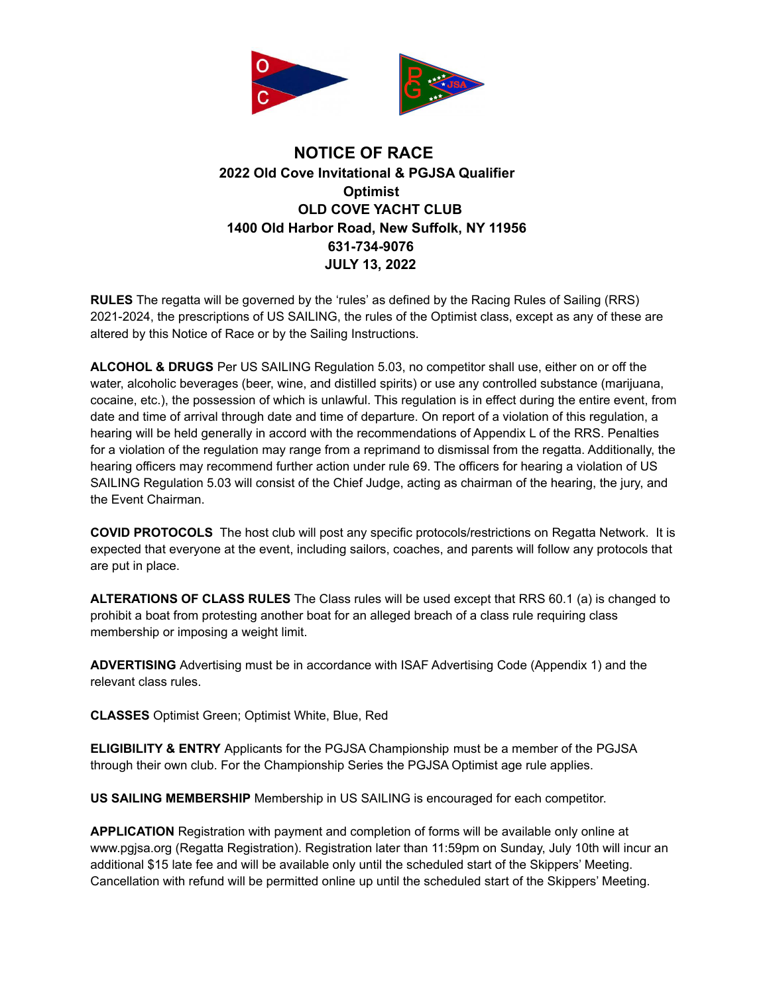

## **NOTICE OF RACE 2022 Old Cove Invitational & PGJSA Qualifier Optimist OLD COVE YACHT CLUB 1400 Old Harbor Road, New Suffolk, NY 11956 631-734-9076 JULY 13, 2022**

**RULES** The regatta will be governed by the 'rules' as defined by the Racing Rules of Sailing (RRS) 2021-2024, the prescriptions of US SAILING, the rules of the Optimist class, except as any of these are altered by this Notice of Race or by the Sailing Instructions.

**ALCOHOL & DRUGS** Per US SAILING Regulation 5.03, no competitor shall use, either on or off the water, alcoholic beverages (beer, wine, and distilled spirits) or use any controlled substance (marijuana, cocaine, etc.), the possession of which is unlawful. This regulation is in effect during the entire event, from date and time of arrival through date and time of departure. On report of a violation of this regulation, a hearing will be held generally in accord with the recommendations of Appendix L of the RRS. Penalties for a violation of the regulation may range from a reprimand to dismissal from the regatta. Additionally, the hearing officers may recommend further action under rule 69. The officers for hearing a violation of US SAILING Regulation 5.03 will consist of the Chief Judge, acting as chairman of the hearing, the jury, and the Event Chairman.

**COVID PROTOCOLS** The host club will post any specific protocols/restrictions on Regatta Network. It is expected that everyone at the event, including sailors, coaches, and parents will follow any protocols that are put in place.

**ALTERATIONS OF CLASS RULES** The Class rules will be used except that RRS 60.1 (a) is changed to prohibit a boat from protesting another boat for an alleged breach of a class rule requiring class membership or imposing a weight limit.

**ADVERTISING** Advertising must be in accordance with ISAF Advertising Code (Appendix 1) and the relevant class rules.

**CLASSES** Optimist Green; Optimist White, Blue, Red

**ELIGIBILITY & ENTRY** Applicants for the PGJSA Championship must be a member of the PGJSA through their own club. For the Championship Series the PGJSA Optimist age rule applies.

**US SAILING MEMBERSHIP** Membership in US SAILING is encouraged for each competitor.

**APPLICATION** Registration with payment and completion of forms will be available only online at www.pgjsa.org (Regatta Registration). Registration later than 11:59pm on Sunday, July 10th will incur an additional \$15 late fee and will be available only until the scheduled start of the Skippers' Meeting. Cancellation with refund will be permitted online up until the scheduled start of the Skippers' Meeting.